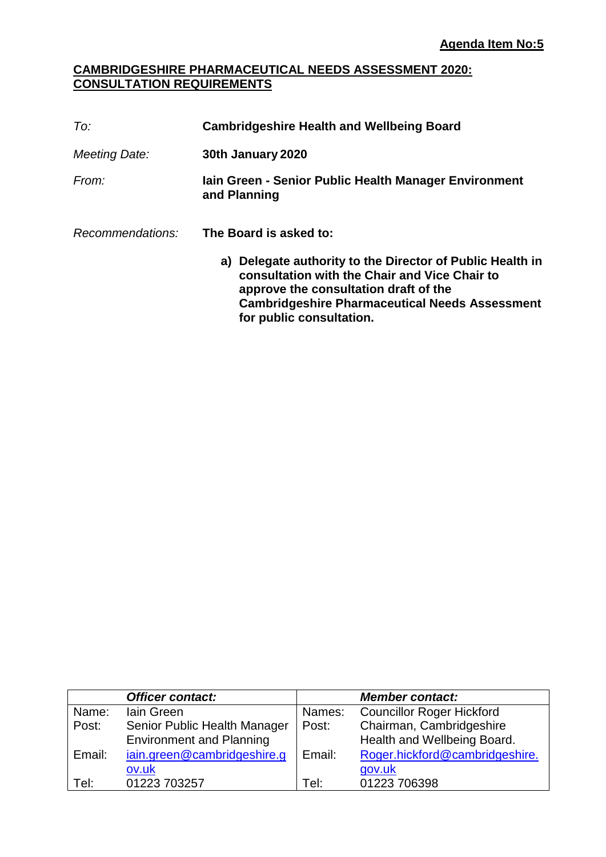### **CAMBRIDGESHIRE PHARMACEUTICAL NEEDS ASSESSMENT 2020: CONSULTATION REQUIREMENTS**

| To:              | <b>Cambridgeshire Health and Wellbeing Board</b>                                                                                                                                                                                         |  |  |
|------------------|------------------------------------------------------------------------------------------------------------------------------------------------------------------------------------------------------------------------------------------|--|--|
| Meeting Date:    | 30th January 2020                                                                                                                                                                                                                        |  |  |
| From:            | lain Green - Senior Public Health Manager Environment<br>and Planning                                                                                                                                                                    |  |  |
| Recommendations: | The Board is asked to:                                                                                                                                                                                                                   |  |  |
|                  | a) Delegate authority to the Director of Public Health in<br>consultation with the Chair and Vice Chair to<br>approve the consultation draft of the<br><b>Cambridgeshire Pharmaceutical Needs Assessment</b><br>for public consultation. |  |  |

|        | <b>Officer contact:</b>         |        | <b>Member contact:</b>           |
|--------|---------------------------------|--------|----------------------------------|
| Name:  | lain Green                      | Names: | <b>Councillor Roger Hickford</b> |
| Post:  | Senior Public Health Manager    | Post:  | Chairman, Cambridgeshire         |
|        | <b>Environment and Planning</b> |        | Health and Wellbeing Board.      |
| Email: | jain.green@cambridgeshire.g     | Email: | Roger.hickford@cambridgeshire.   |
|        | ov.uk                           |        | gov.uk                           |
| Tel:   | 01223 703257                    | Tel:   | 01223 706398                     |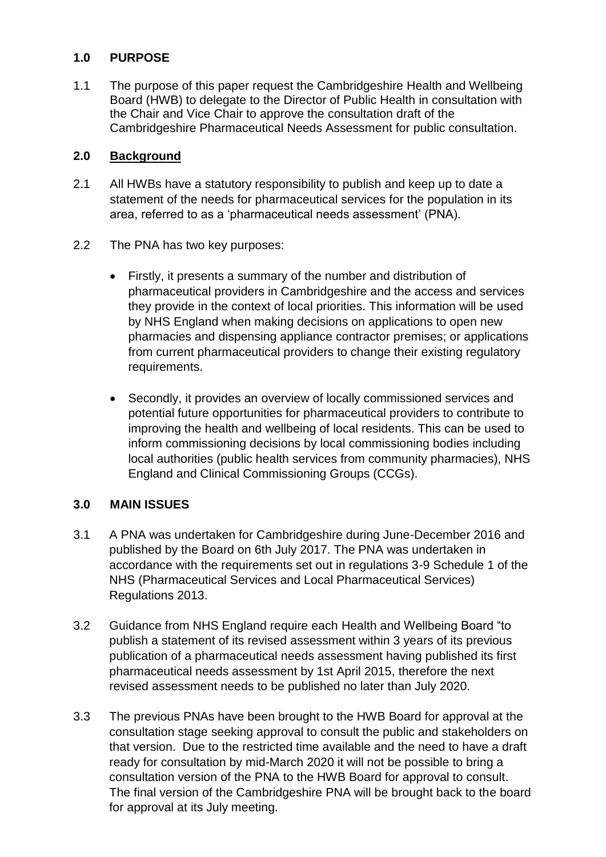## **1.0 PURPOSE**

1.1 The purpose of this paper request the Cambridgeshire Health and Wellbeing Board (HWB) to delegate to the Director of Public Health in consultation with the Chair and Vice Chair to approve the consultation draft of the Cambridgeshire Pharmaceutical Needs Assessment for public consultation.

### **2.0 Background**

- 2.1 All HWBs have a statutory responsibility to publish and keep up to date a statement of the needs for pharmaceutical services for the population in its area, referred to as a 'pharmaceutical needs assessment' (PNA).
- 2.2 The PNA has two key purposes:
	- Firstly, it presents a summary of the number and distribution of pharmaceutical providers in Cambridgeshire and the access and services they provide in the context of local priorities. This information will be used by NHS England when making decisions on applications to open new pharmacies and dispensing appliance contractor premises; or applications from current pharmaceutical providers to change their existing regulatory requirements.
	- Secondly, it provides an overview of locally commissioned services and potential future opportunities for pharmaceutical providers to contribute to improving the health and wellbeing of local residents. This can be used to inform commissioning decisions by local commissioning bodies including local authorities (public health services from community pharmacies), NHS England and Clinical Commissioning Groups (CCGs).

## **3.0 MAIN ISSUES**

- 3.1 A PNA was undertaken for Cambridgeshire during June-December 2016 and published by the Board on 6th July 2017. The PNA was undertaken in accordance with the requirements set out in regulations 3-9 Schedule 1 of the NHS (Pharmaceutical Services and Local Pharmaceutical Services) Regulations 2013.
- 3.2 Guidance from NHS England require each Health and Wellbeing Board "to publish a statement of its revised assessment within 3 years of its previous publication of a pharmaceutical needs assessment having published its first pharmaceutical needs assessment by 1st April 2015, therefore the next revised assessment needs to be published no later than July 2020.
- 3.3 The previous PNAs have been brought to the HWB Board for approval at the consultation stage seeking approval to consult the public and stakeholders on that version. Due to the restricted time available and the need to have a draft ready for consultation by mid-March 2020 it will not be possible to bring a consultation version of the PNA to the HWB Board for approval to consult. The final version of the Cambridgeshire PNA will be brought back to the board for approval at its July meeting.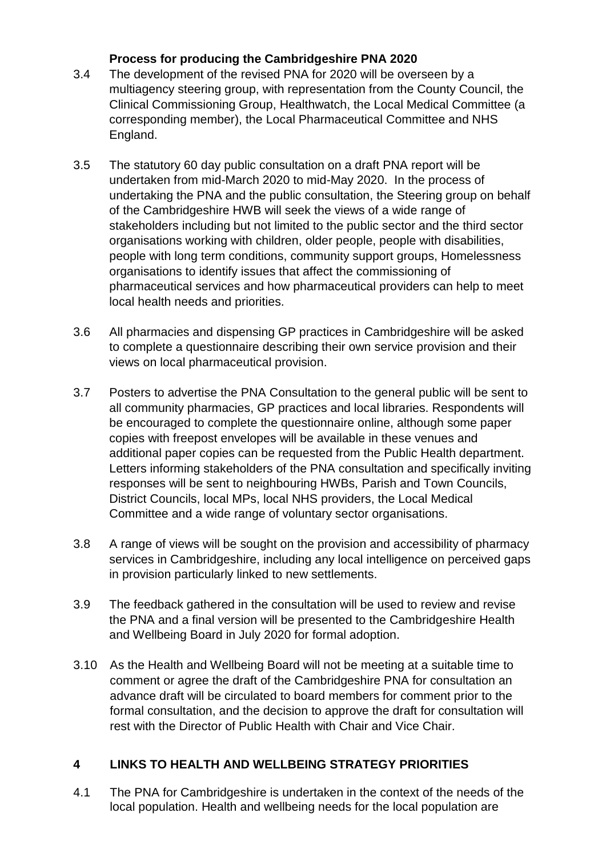# **Process for producing the Cambridgeshire PNA 2020**

- 3.4 The development of the revised PNA for 2020 will be overseen by a multiagency steering group, with representation from the County Council, the Clinical Commissioning Group, Healthwatch, the Local Medical Committee (a corresponding member), the Local Pharmaceutical Committee and NHS England.
- 3.5 The statutory 60 day public consultation on a draft PNA report will be undertaken from mid-March 2020 to mid-May 2020. In the process of undertaking the PNA and the public consultation, the Steering group on behalf of the Cambridgeshire HWB will seek the views of a wide range of stakeholders including but not limited to the public sector and the third sector organisations working with children, older people, people with disabilities, people with long term conditions, community support groups, Homelessness organisations to identify issues that affect the commissioning of pharmaceutical services and how pharmaceutical providers can help to meet local health needs and priorities.
- 3.6 All pharmacies and dispensing GP practices in Cambridgeshire will be asked to complete a questionnaire describing their own service provision and their views on local pharmaceutical provision.
- 3.7 Posters to advertise the PNA Consultation to the general public will be sent to all community pharmacies, GP practices and local libraries. Respondents will be encouraged to complete the questionnaire online, although some paper copies with freepost envelopes will be available in these venues and additional paper copies can be requested from the Public Health department. Letters informing stakeholders of the PNA consultation and specifically inviting responses will be sent to neighbouring HWBs, Parish and Town Councils, District Councils, local MPs, local NHS providers, the Local Medical Committee and a wide range of voluntary sector organisations.
- 3.8 A range of views will be sought on the provision and accessibility of pharmacy services in Cambridgeshire, including any local intelligence on perceived gaps in provision particularly linked to new settlements.
- 3.9 The feedback gathered in the consultation will be used to review and revise the PNA and a final version will be presented to the Cambridgeshire Health and Wellbeing Board in July 2020 for formal adoption.
- 3.10 As the Health and Wellbeing Board will not be meeting at a suitable time to comment or agree the draft of the Cambridgeshire PNA for consultation an advance draft will be circulated to board members for comment prior to the formal consultation, and the decision to approve the draft for consultation will rest with the Director of Public Health with Chair and Vice Chair.

# **4 LINKS TO HEALTH AND WELLBEING STRATEGY PRIORITIES**

4.1 The PNA for Cambridgeshire is undertaken in the context of the needs of the local population. Health and wellbeing needs for the local population are